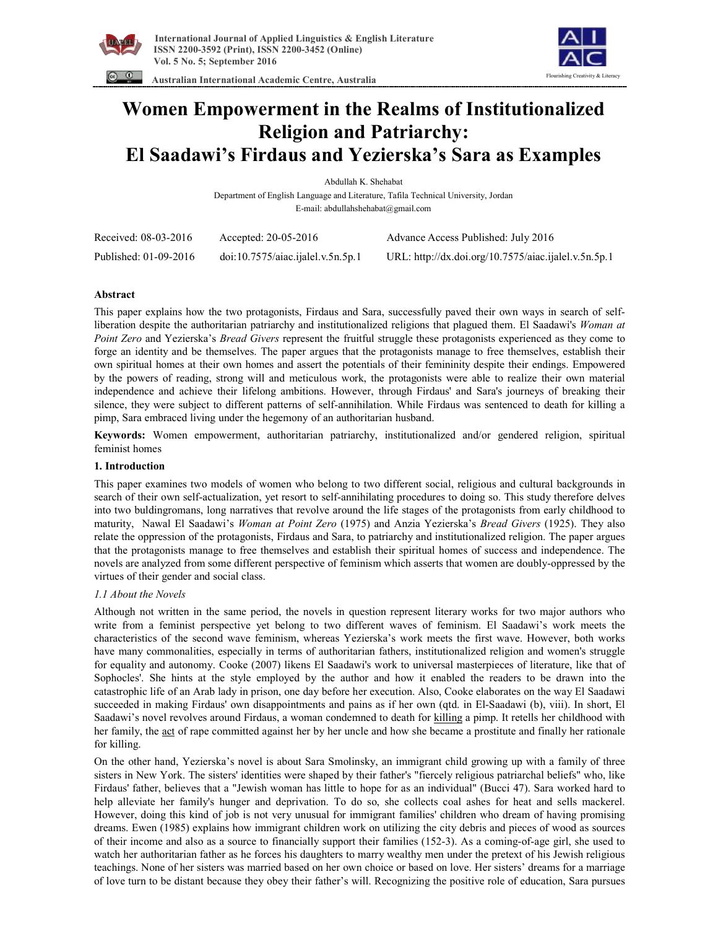

 **Australian International Academic Centre, Australia** 



# **Women Empowerment in the Realms of Institutionalized Religion and Patriarchy: El Saadawi's Firdaus and Yezierska's Sara as Examples**

Abdullah K. Shehabat Department of English Language and Literature, Tafila Technical University, Jordan E-mail: abdullahshehabat@gmail.com

| Received: 08-03-2016  | Accepted: $20-05-2016$            | Advance Access Published: July 2016                  |
|-----------------------|-----------------------------------|------------------------------------------------------|
| Published: 01-09-2016 | doi:10.7575/aiac.ijalel.v.5n.5p.1 | URL: http://dx.doi.org/10.7575/aiac.ijalel.v.5n.5p.1 |

# **Abstract**

This paper explains how the two protagonists, Firdaus and Sara, successfully paved their own ways in search of selfliberation despite the authoritarian patriarchy and institutionalized religions that plagued them. El Saadawi's *Woman at Point Zero* and Yezierska's *Bread Givers* represent the fruitful struggle these protagonists experienced as they come to forge an identity and be themselves. The paper argues that the protagonists manage to free themselves, establish their own spiritual homes at their own homes and assert the potentials of their femininity despite their endings. Empowered by the powers of reading, strong will and meticulous work, the protagonists were able to realize their own material independence and achieve their lifelong ambitions. However, through Firdaus' and Sara's journeys of breaking their silence, they were subject to different patterns of self-annihilation. While Firdaus was sentenced to death for killing a pimp, Sara embraced living under the hegemony of an authoritarian husband.

**Keywords:** Women empowerment, authoritarian patriarchy, institutionalized and/or gendered religion, spiritual feminist homes

# **1. Introduction**

This paper examines two models of women who belong to two different social, religious and cultural backgrounds in search of their own self-actualization, yet resort to self-annihilating procedures to doing so. This study therefore delves into two buldingromans, long narratives that revolve around the life stages of the protagonists from early childhood to maturity, Nawal El Saadawi's *Woman at Point Zero* (1975) and Anzia Yezierska's *Bread Givers* (1925). They also relate the oppression of the protagonists, Firdaus and Sara, to patriarchy and institutionalized religion. The paper argues that the protagonists manage to free themselves and establish their spiritual homes of success and independence. The novels are analyzed from some different perspective of feminism which asserts that women are doubly-oppressed by the virtues of their gender and social class.

# *1.1 About the Novels*

Although not written in the same period, the novels in question represent literary works for two major authors who write from a feminist perspective yet belong to two different waves of feminism. El Saadawi's work meets the characteristics of the second wave feminism, whereas Yezierska's work meets the first wave. However, both works have many commonalities, especially in terms of authoritarian fathers, institutionalized religion and women's struggle for equality and autonomy. Cooke (2007) likens El Saadawi's work to universal masterpieces of literature, like that of Sophocles'. She hints at the style employed by the author and how it enabled the readers to be drawn into the catastrophic life of an Arab lady in prison, one day before her execution. Also, Cooke elaborates on the way El Saadawi succeeded in making Firdaus' own disappointments and pains as if her own (qtd. in El-Saadawi (b), viii). In short, El Saadawi's novel revolves around Firdaus, a woman condemned to death for killing a pimp. It retells her childhood with her family, the act of rape committed against her by her uncle and how she became a prostitute and finally her rationale for killing.

On the other hand, Yezierska's novel is about Sara Smolinsky, an immigrant child growing up with a family of three sisters in New York. The sisters' identities were shaped by their father's "fiercely religious patriarchal beliefs" who, like Firdaus' father, believes that a "Jewish woman has little to hope for as an individual" (Bucci 47). Sara worked hard to help alleviate her family's hunger and deprivation. To do so, she collects coal ashes for heat and sells mackerel. However, doing this kind of job is not very unusual for immigrant families' children who dream of having promising dreams. Ewen (1985) explains how immigrant children work on utilizing the city debris and pieces of wood as sources of their income and also as a source to financially support their families (152-3). As a coming-of-age girl, she used to watch her authoritarian father as he forces his daughters to marry wealthy men under the pretext of his Jewish religious teachings. None of her sisters was married based on her own choice or based on love. Her sisters' dreams for a marriage of love turn to be distant because they obey their father's will. Recognizing the positive role of education, Sara pursues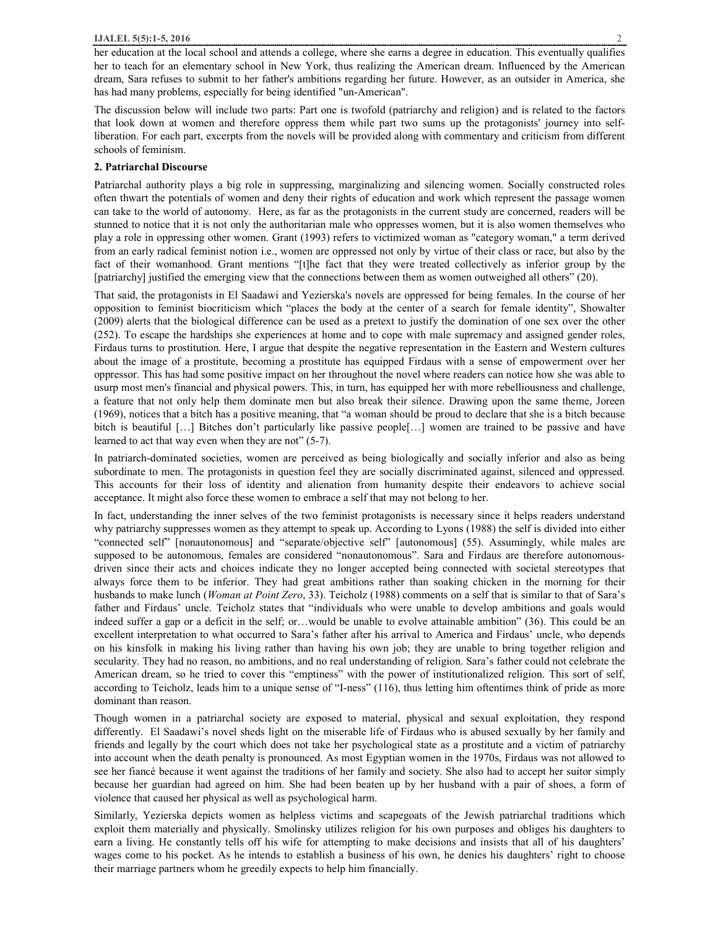her education at the local school and attends a college, where she earns a degree in education. This eventually qualifies her to teach for an elementary school in New York, thus realizing the American dream. Influenced by the American dream, Sara refuses to submit to her father's ambitions regarding her future. However, as an outsider in America, she has had many problems, especially for being identified "un-American".

The discussion below will include two parts: Part one is twofold (patriarchy and religion) and is related to the factors that look down at women and therefore oppress them while part two sums up the protagonists' journey into selfliberation. For each part, excerpts from the novels will be provided along with commentary and criticism from different schools of feminism.

# **2. Patriarchal Discourse**

Patriarchal authority plays a big role in suppressing, marginalizing and silencing women. Socially constructed roles often thwart the potentials of women and deny their rights of education and work which represent the passage women can take to the world of autonomy. Here, as far as the protagonists in the current study are concerned, readers will be stunned to notice that it is not only the authoritarian male who oppresses women, but it is also women themselves who play a role in oppressing other women. Grant (1993) refers to victimized woman as "category woman," a term derived from an early radical feminist notion i.e., women are oppressed not only by virtue of their class or race, but also by the fact of their womanhood. Grant mentions "[t]he fact that they were treated collectively as inferior group by the [patriarchy] justified the emerging view that the connections between them as women outweighed all others" (20).

That said, the protagonists in El Saadawi and Yezierska's novels are oppressed for being females. In the course of her opposition to feminist biocriticism which "places the body at the center of a search for female identity", Showalter (2009) alerts that the biological difference can be used as a pretext to justify the domination of one sex over the other (252). To escape the hardships she experiences at home and to cope with male supremacy and assigned gender roles, Firdaus turns to prostitution. Here, I argue that despite the negative representation in the Eastern and Western cultures about the image of a prostitute, becoming a prostitute has equipped Firdaus with a sense of empowerment over her oppressor. This has had some positive impact on her throughout the novel where readers can notice how she was able to usurp most men's financial and physical powers. This, in turn, has equipped her with more rebelliousness and challenge, a feature that not only help them dominate men but also break their silence. Drawing upon the same theme, Joreen (1969), notices that a bitch has a positive meaning, that "a woman should be proud to declare that she is a bitch because bitch is beautiful […] Bitches don't particularly like passive people[…] women are trained to be passive and have learned to act that way even when they are not" (5-7).

In patriarch-dominated societies, women are perceived as being biologically and socially inferior and also as being subordinate to men. The protagonists in question feel they are socially discriminated against, silenced and oppressed. This accounts for their loss of identity and alienation from humanity despite their endeavors to achieve social acceptance. It might also force these women to embrace a self that may not belong to her.

In fact, understanding the inner selves of the two feminist protagonists is necessary since it helps readers understand why patriarchy suppresses women as they attempt to speak up. According to Lyons (1988) the self is divided into either "connected self" [nonautonomous] and "separate/objective self" [autonomous] (55). Assumingly, while males are supposed to be autonomous, females are considered "nonautonomous". Sara and Firdaus are therefore autonomousdriven since their acts and choices indicate they no longer accepted being connected with societal stereotypes that always force them to be inferior. They had great ambitions rather than soaking chicken in the morning for their husbands to make lunch (*Woman at Point Zero*, 33). Teicholz (1988) comments on a self that is similar to that of Sara's father and Firdaus' uncle. Teicholz states that "individuals who were unable to develop ambitions and goals would indeed suffer a gap or a deficit in the self; or…would be unable to evolve attainable ambition" (36). This could be an excellent interpretation to what occurred to Sara's father after his arrival to America and Firdaus' uncle, who depends on his kinsfolk in making his living rather than having his own job; they are unable to bring together religion and secularity. They had no reason, no ambitions, and no real understanding of religion. Sara's father could not celebrate the American dream, so he tried to cover this "emptiness" with the power of institutionalized religion. This sort of self, according to Teicholz, leads him to a unique sense of "I-ness" (116), thus letting him oftentimes think of pride as more dominant than reason.

Though women in a patriarchal society are exposed to material, physical and sexual exploitation, they respond differently. El Saadawi's novel sheds light on the miserable life of Firdaus who is abused sexually by her family and friends and legally by the court which does not take her psychological state as a prostitute and a victim of patriarchy into account when the death penalty is pronounced. As most Egyptian women in the 1970s, Firdaus was not allowed to see her fiancé because it went against the traditions of her family and society. She also had to accept her suitor simply because her guardian had agreed on him. She had been beaten up by her husband with a pair of shoes, a form of violence that caused her physical as well as psychological harm.

Similarly, Yezierska depicts women as helpless victims and scapegoats of the Jewish patriarchal traditions which exploit them materially and physically. Smolinsky utilizes religion for his own purposes and obliges his daughters to earn a living. He constantly tells off his wife for attempting to make decisions and insists that all of his daughters' wages come to his pocket. As he intends to establish a business of his own, he denies his daughters' right to choose their marriage partners whom he greedily expects to help him financially.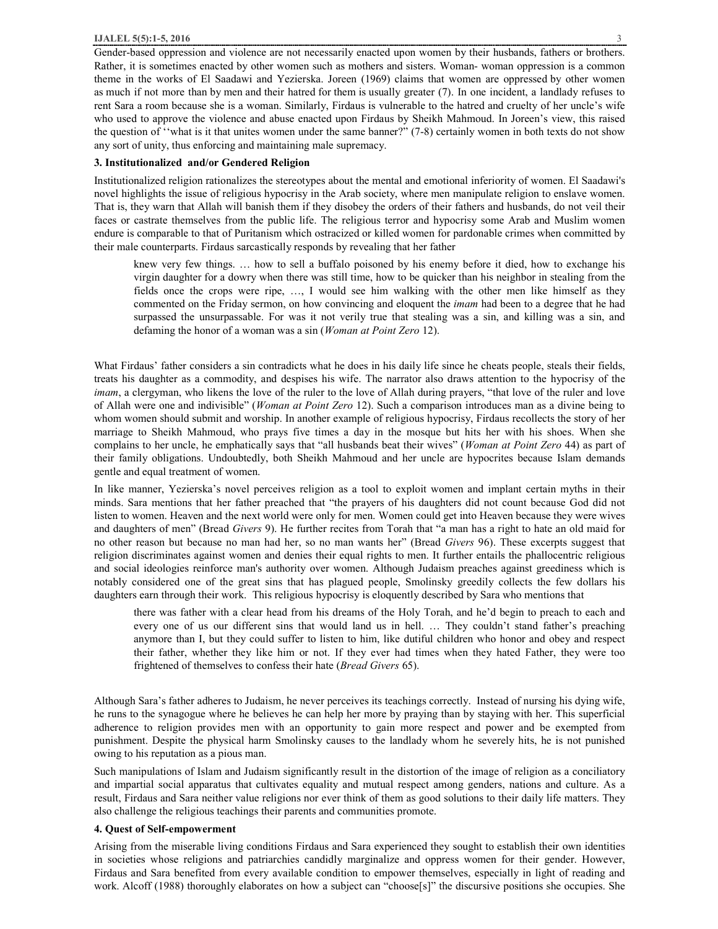#### **IJALEL 5(5):1-5, 2016** 3

Gender-based oppression and violence are not necessarily enacted upon women by their husbands, fathers or brothers. Rather, it is sometimes enacted by other women such as mothers and sisters. Woman- woman oppression is a common theme in the works of El Saadawi and Yezierska. Joreen (1969) claims that women are oppressed by other women as much if not more than by men and their hatred for them is usually greater (7). In one incident, a landlady refuses to rent Sara a room because she is a woman. Similarly, Firdaus is vulnerable to the hatred and cruelty of her uncle's wife who used to approve the violence and abuse enacted upon Firdaus by Sheikh Mahmoud. In Joreen's view, this raised the question of ''what is it that unites women under the same banner?" (7-8) certainly women in both texts do not show any sort of unity, thus enforcing and maintaining male supremacy.

## **3. Institutionalized and/or Gendered Religion**

Institutionalized religion rationalizes the stereotypes about the mental and emotional inferiority of women. El Saadawi's novel highlights the issue of religious hypocrisy in the Arab society, where men manipulate religion to enslave women. That is, they warn that Allah will banish them if they disobey the orders of their fathers and husbands, do not veil their faces or castrate themselves from the public life. The religious terror and hypocrisy some Arab and Muslim women endure is comparable to that of Puritanism which ostracized or killed women for pardonable crimes when committed by their male counterparts. Firdaus sarcastically responds by revealing that her father

knew very few things. … how to sell a buffalo poisoned by his enemy before it died, how to exchange his virgin daughter for a dowry when there was still time, how to be quicker than his neighbor in stealing from the fields once the crops were ripe, …, I would see him walking with the other men like himself as they commented on the Friday sermon, on how convincing and eloquent the *imam* had been to a degree that he had surpassed the unsurpassable. For was it not verily true that stealing was a sin, and killing was a sin, and defaming the honor of a woman was a sin (*Woman at Point Zero* 12).

What Firdaus' father considers a sin contradicts what he does in his daily life since he cheats people, steals their fields, treats his daughter as a commodity, and despises his wife. The narrator also draws attention to the hypocrisy of the *imam*, a clergyman, who likens the love of the ruler to the love of Allah during prayers, "that love of the ruler and love of Allah were one and indivisible" (*Woman at Point Zero* 12). Such a comparison introduces man as a divine being to whom women should submit and worship. In another example of religious hypocrisy, Firdaus recollects the story of her marriage to Sheikh Mahmoud, who prays five times a day in the mosque but hits her with his shoes. When she complains to her uncle, he emphatically says that "all husbands beat their wives" (*Woman at Point Zero* 44) as part of their family obligations. Undoubtedly, both Sheikh Mahmoud and her uncle are hypocrites because Islam demands gentle and equal treatment of women.

In like manner, Yezierska's novel perceives religion as a tool to exploit women and implant certain myths in their minds. Sara mentions that her father preached that "the prayers of his daughters did not count because God did not listen to women. Heaven and the next world were only for men. Women could get into Heaven because they were wives and daughters of men" (Bread *Givers* 9). He further recites from Torah that "a man has a right to hate an old maid for no other reason but because no man had her, so no man wants her" (Bread *Givers* 96). These excerpts suggest that religion discriminates against women and denies their equal rights to men. It further entails the phallocentric religious and social ideologies reinforce man's authority over women. Although Judaism preaches against greediness which is notably considered one of the great sins that has plagued people, Smolinsky greedily collects the few dollars his daughters earn through their work. This religious hypocrisy is eloquently described by Sara who mentions that

there was father with a clear head from his dreams of the Holy Torah, and he'd begin to preach to each and every one of us our different sins that would land us in hell. … They couldn't stand father's preaching anymore than I, but they could suffer to listen to him, like dutiful children who honor and obey and respect their father, whether they like him or not. If they ever had times when they hated Father, they were too frightened of themselves to confess their hate (*Bread Givers* 65).

Although Sara's father adheres to Judaism, he never perceives its teachings correctly. Instead of nursing his dying wife, he runs to the synagogue where he believes he can help her more by praying than by staying with her. This superficial adherence to religion provides men with an opportunity to gain more respect and power and be exempted from punishment. Despite the physical harm Smolinsky causes to the landlady whom he severely hits, he is not punished owing to his reputation as a pious man.

Such manipulations of Islam and Judaism significantly result in the distortion of the image of religion as a conciliatory and impartial social apparatus that cultivates equality and mutual respect among genders, nations and culture. As a result, Firdaus and Sara neither value religions nor ever think of them as good solutions to their daily life matters. They also challenge the religious teachings their parents and communities promote.

### **4. Quest of Self-empowerment**

Arising from the miserable living conditions Firdaus and Sara experienced they sought to establish their own identities in societies whose religions and patriarchies candidly marginalize and oppress women for their gender. However, Firdaus and Sara benefited from every available condition to empower themselves, especially in light of reading and work. Alcoff (1988) thoroughly elaborates on how a subject can "choose<sup>[s]"</sup> the discursive positions she occupies. She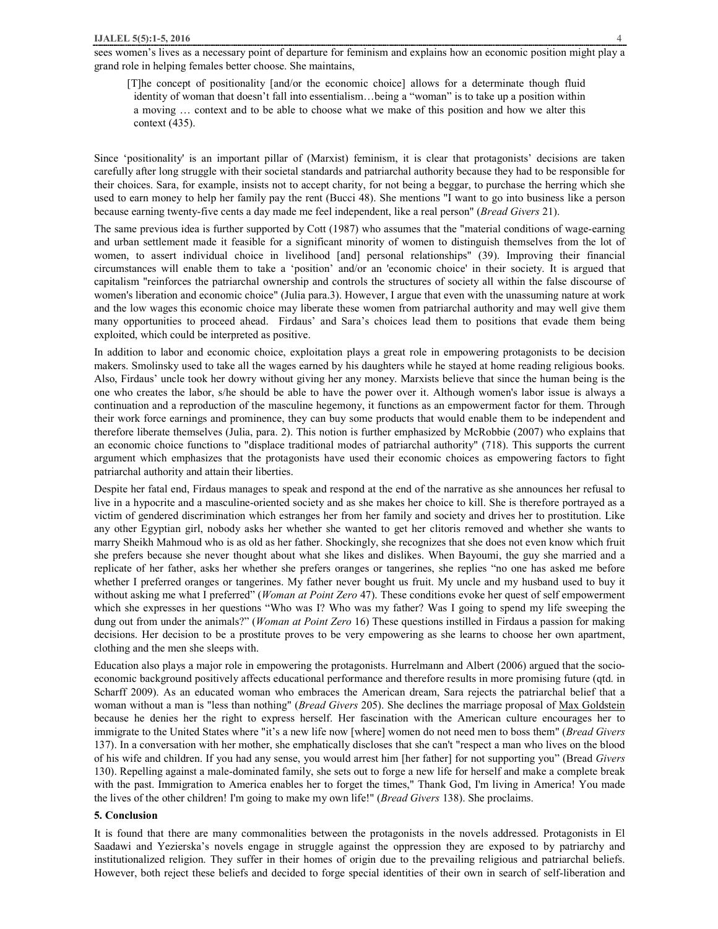sees women's lives as a necessary point of departure for feminism and explains how an economic position might play a grand role in helping females better choose. She maintains,

 [T]he concept of positionality [and/or the economic choice] allows for a determinate though fluid identity of woman that doesn't fall into essentialism…being a "woman" is to take up a position within a moving … context and to be able to choose what we make of this position and how we alter this context (435).

Since 'positionality' is an important pillar of (Marxist) feminism, it is clear that protagonists' decisions are taken carefully after long struggle with their societal standards and patriarchal authority because they had to be responsible for their choices. Sara, for example, insists not to accept charity, for not being a beggar, to purchase the herring which she used to earn money to help her family pay the rent (Bucci 48). She mentions "I want to go into business like a person because earning twenty-five cents a day made me feel independent, like a real person" (*Bread Givers* 21).

The same previous idea is further supported by Cott (1987) who assumes that the "material conditions of wage-earning and urban settlement made it feasible for a significant minority of women to distinguish themselves from the lot of women, to assert individual choice in livelihood [and] personal relationships" (39). Improving their financial circumstances will enable them to take a 'position' and/or an 'economic choice' in their society. It is argued that capitalism "reinforces the patriarchal ownership and controls the structures of society all within the false discourse of women's liberation and economic choice" (Julia para.3). However, I argue that even with the unassuming nature at work and the low wages this economic choice may liberate these women from patriarchal authority and may well give them many opportunities to proceed ahead. Firdaus' and Sara's choices lead them to positions that evade them being exploited, which could be interpreted as positive.

In addition to labor and economic choice, exploitation plays a great role in empowering protagonists to be decision makers. Smolinsky used to take all the wages earned by his daughters while he stayed at home reading religious books. Also, Firdaus' uncle took her dowry without giving her any money. Marxists believe that since the human being is the one who creates the labor, s/he should be able to have the power over it. Although women's labor issue is always a continuation and a reproduction of the masculine hegemony, it functions as an empowerment factor for them. Through their work force earnings and prominence, they can buy some products that would enable them to be independent and therefore liberate themselves (Julia, para. 2). This notion is further emphasized by McRobbie (2007) who explains that an economic choice functions to "displace traditional modes of patriarchal authority" (718). This supports the current argument which emphasizes that the protagonists have used their economic choices as empowering factors to fight patriarchal authority and attain their liberties.

Despite her fatal end, Firdaus manages to speak and respond at the end of the narrative as she announces her refusal to live in a hypocrite and a masculine-oriented society and as she makes her choice to kill. She is therefore portrayed as a victim of gendered discrimination which estranges her from her family and society and drives her to prostitution. Like any other Egyptian girl, nobody asks her whether she wanted to get her clitoris removed and whether she wants to marry Sheikh Mahmoud who is as old as her father. Shockingly, she recognizes that she does not even know which fruit she prefers because she never thought about what she likes and dislikes. When Bayoumi, the guy she married and a replicate of her father, asks her whether she prefers oranges or tangerines, she replies "no one has asked me before whether I preferred oranges or tangerines. My father never bought us fruit. My uncle and my husband used to buy it without asking me what I preferred" (*Woman at Point Zero* 47). These conditions evoke her quest of self empowerment which she expresses in her questions "Who was I? Who was my father? Was I going to spend my life sweeping the dung out from under the animals?" (*Woman at Point Zero* 16) These questions instilled in Firdaus a passion for making decisions. Her decision to be a prostitute proves to be very empowering as she learns to choose her own apartment, clothing and the men she sleeps with.

Education also plays a major role in empowering the protagonists. Hurrelmann and Albert (2006) argued that the socioeconomic background positively affects educational performance and therefore results in more promising future (qtd. in Scharff 2009). As an educated woman who embraces the American dream, Sara rejects the patriarchal belief that a woman without a man is "less than nothing" (*Bread Givers* 205). She declines the marriage proposal of Max Goldstein because he denies her the right to express herself. Her fascination with the American culture encourages her to immigrate to the United States where "it's a new life now [where] women do not need men to boss them" (*Bread Givers* 137). In a conversation with her mother, she emphatically discloses that she can't "respect a man who lives on the blood of his wife and children. If you had any sense, you would arrest him [her father] for not supporting you" (Bread *Givers* 130). Repelling against a male-dominated family, she sets out to forge a new life for herself and make a complete break with the past. Immigration to America enables her to forget the times," Thank God, I'm living in America! You made the lives of the other children! I'm going to make my own life!" (*Bread Givers* 138). She proclaims.

# **5. Conclusion**

It is found that there are many commonalities between the protagonists in the novels addressed. Protagonists in El Saadawi and Yezierska's novels engage in struggle against the oppression they are exposed to by patriarchy and institutionalized religion. They suffer in their homes of origin due to the prevailing religious and patriarchal beliefs. However, both reject these beliefs and decided to forge special identities of their own in search of self-liberation and